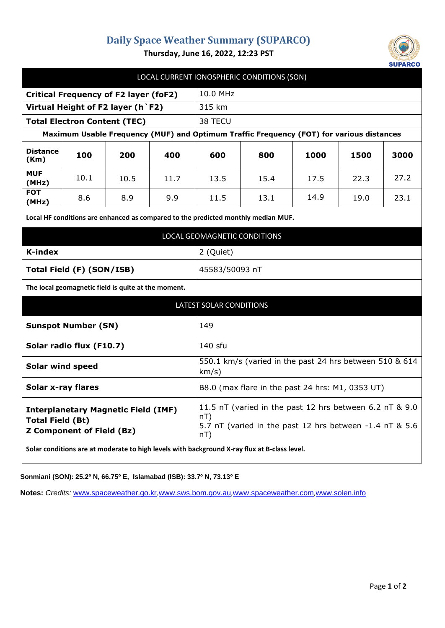## **Daily Space Weather Summary (SUPARCO)**



**Thursday, June 16, 2022, 12:23 PST**

| LOCAL CURRENT IONOSPHERIC CONDITIONS (SON)                                                                                                                                                                |      |      |      |                                                                                                                                     |      |      |      |      |
|-----------------------------------------------------------------------------------------------------------------------------------------------------------------------------------------------------------|------|------|------|-------------------------------------------------------------------------------------------------------------------------------------|------|------|------|------|
| <b>Critical Frequency of F2 layer (foF2)</b>                                                                                                                                                              |      |      |      | 10.0 MHz                                                                                                                            |      |      |      |      |
| Virtual Height of F2 layer (h `F2)                                                                                                                                                                        |      |      |      | 315 km                                                                                                                              |      |      |      |      |
| <b>Total Electron Content (TEC)</b>                                                                                                                                                                       |      |      |      | 38 TECU                                                                                                                             |      |      |      |      |
| Maximum Usable Frequency (MUF) and Optimum Traffic Frequency (FOT) for various distances                                                                                                                  |      |      |      |                                                                                                                                     |      |      |      |      |
| <b>Distance</b><br>(Km)                                                                                                                                                                                   | 100  | 200  | 400  | 600                                                                                                                                 | 800  | 1000 | 1500 | 3000 |
| <b>MUF</b><br>(MHz)                                                                                                                                                                                       | 10.1 | 10.5 | 11.7 | 13.5                                                                                                                                | 15.4 | 17.5 | 22.3 | 27.2 |
| <b>FOT</b><br>(MHz)                                                                                                                                                                                       | 8.6  | 8.9  | 9.9  | 11.5                                                                                                                                | 13.1 | 14.9 | 19.0 | 23.1 |
| Local HF conditions are enhanced as compared to the predicted monthly median MUF.                                                                                                                         |      |      |      |                                                                                                                                     |      |      |      |      |
| LOCAL GEOMAGNETIC CONDITIONS                                                                                                                                                                              |      |      |      |                                                                                                                                     |      |      |      |      |
| <b>K-index</b>                                                                                                                                                                                            |      |      |      | 2 (Quiet)                                                                                                                           |      |      |      |      |
| Total Field (F) (SON/ISB)                                                                                                                                                                                 |      |      |      | 45583/50093 nT                                                                                                                      |      |      |      |      |
| The local geomagnetic field is quite at the moment.                                                                                                                                                       |      |      |      |                                                                                                                                     |      |      |      |      |
| <b>LATEST SOLAR CONDITIONS</b>                                                                                                                                                                            |      |      |      |                                                                                                                                     |      |      |      |      |
| <b>Sunspot Number (SN)</b>                                                                                                                                                                                |      |      |      | 149                                                                                                                                 |      |      |      |      |
| Solar radio flux (F10.7)                                                                                                                                                                                  |      |      |      | 140 sfu                                                                                                                             |      |      |      |      |
| <b>Solar wind speed</b>                                                                                                                                                                                   |      |      |      | 550.1 km/s (varied in the past 24 hrs between 510 & 614<br>km/s)                                                                    |      |      |      |      |
| <b>Solar x-ray flares</b>                                                                                                                                                                                 |      |      |      | B8.0 (max flare in the past 24 hrs: M1, 0353 UT)                                                                                    |      |      |      |      |
| <b>Interplanetary Magnetic Field (IMF)</b><br><b>Total Field (Bt)</b><br><b>Z Component of Field (Bz)</b><br>Solar conditions are at moderate to high levels with background X-ray flux at B-class level. |      |      |      | 11.5 nT (varied in the past 12 hrs between 6.2 nT & 9.0<br>$nT$ )<br>5.7 nT (varied in the past 12 hrs between -1.4 nT & 5.6<br>nT) |      |      |      |      |

**Sonmiani (SON): 25.2º N, 66.75º E, Islamabad (ISB): 33.7º N, 73.13º E**

**Notes:** *Credits:* [www.spaceweather.go.kr,](http://www.spaceweather.go.kr/)[www.sws.bom.gov.au](http://www.sws.bom.gov.au/),[www.spaceweather.com](http://www.spaceweather.com/),[www.solen.info](http://www.solen.info/)